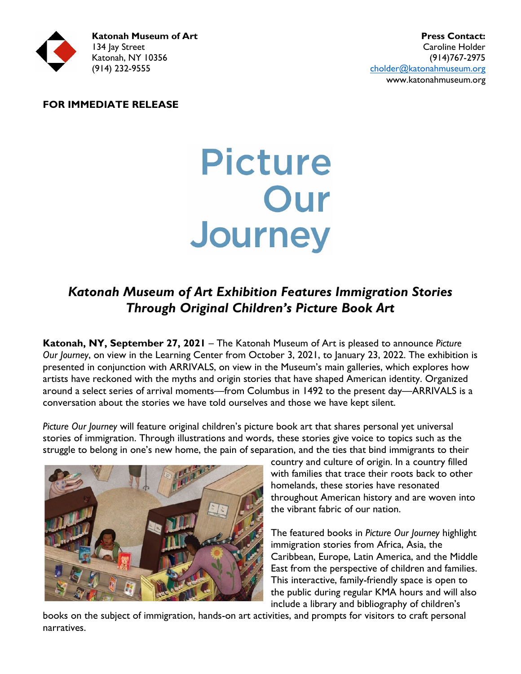

#### **FOR IMMEDIATE RELEASE**

# Picture Our Journey

# *Katonah Museum of Art Exhibition Features Immigration Stories Through Original Children's Picture Book Art*

**Katonah, NY, September 27, 2021** – The Katonah Museum of Art is pleased to announce *Picture Our Journey*, on view in the Learning Center from October 3, 2021, to January 23, 2022. The exhibition is presented in conjunction with ARRIVALS, on view in the Museum's main galleries, which explores how artists have reckoned with the myths and origin stories that have shaped American identity. Organized around a select series of arrival moments—from Columbus in 1492 to the present day—ARRIVALS is a conversation about the stories we have told ourselves and those we have kept silent.

*Picture Our Journey* will feature original children's picture book art that shares personal yet universal stories of immigration. Through illustrations and words, these stories give voice to topics such as the struggle to belong in one's new home, the pain of separation, and the ties that bind immigrants to their



country and culture of origin. In a country filled with families that trace their roots back to other homelands, these stories have resonated throughout American history and are woven into the vibrant fabric of our nation.

The featured books in *Picture Our Journey* highlight immigration stories from Africa, Asia, the Caribbean, Europe, Latin America, and the Middle East from the perspective of children and families. This interactive, family-friendly space is open to the public during regular KMA hours and will also include a library and bibliography of children's

books on the subject of immigration, hands-on art activities, and prompts for visitors to craft personal narratives.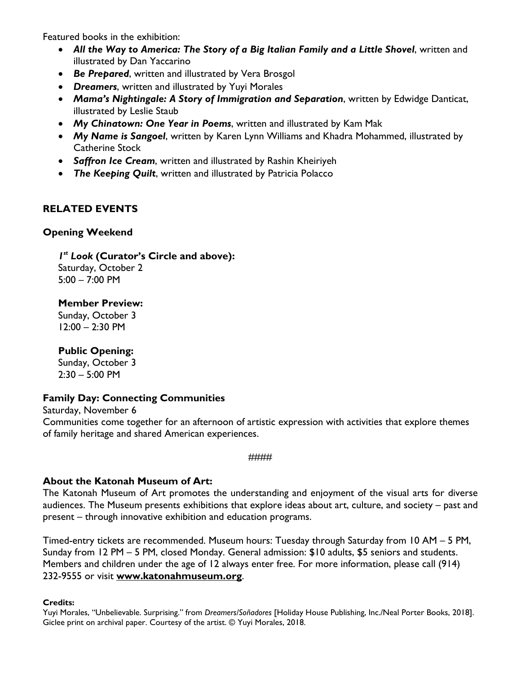Featured books in the exhibition:

- *All the Way to America: The Story of a Big Italian Family and a Little Shovel*, written and illustrated by Dan Yaccarino
- *Be Prepared*, written and illustrated by Vera Brosgol
- *Dreamers*, written and illustrated by Yuyi Morales
- *Mama's Nightingale: A Story of Immigration and Separation*, written by Edwidge Danticat, illustrated by Leslie Staub
- *My Chinatown: One Year in Poems*, written and illustrated by Kam Mak
- *My Name is Sangoel*, written by Karen Lynn Williams and Khadra Mohammed, illustrated by Catherine Stock
- *Saffron Ice Cream*, written and illustrated by Rashin Kheiriyeh
- *The Keeping Quilt*, written and illustrated by Patricia Polacco

# **RELATED EVENTS**

#### **Opening Weekend**

*1st Look* **(Curator's Circle and above):** Saturday, October 2

5:00 – 7:00 PM

**Member Preview:** Sunday, October 3

12:00 – 2:30 PM

## **Public Opening:**

Sunday, October 3 2:30 – 5:00 PM

## **Family Day: Connecting Communities**

Saturday, November 6 Communities come together for an afternoon of artistic expression with activities that explore themes of family heritage and shared American experiences.

####

## **About the Katonah Museum of Art:**

The Katonah Museum of Art promotes the understanding and enjoyment of the visual arts for diverse audiences. The Museum presents exhibitions that explore ideas about art, culture, and society – past and present – through innovative exhibition and education programs.

Timed-entry tickets are recommended. Museum hours: Tuesday through Saturday from 10 AM – 5 PM, Sunday from 12 PM – 5 PM, closed Monday. General admission: \$10 adults, \$5 seniors and students. Members and children under the age of 12 always enter free. For more information, please call (914) 232-9555 or visit **[www.katonahmuseum.org](http://www.katonahmuseum.org/)**.

#### **Credits:**

Yuyi Morales, "Unbelievable. Surprising." from *Dreamers/Soñadores* [Holiday House Publishing, Inc./Neal Porter Books, 2018]. Giclee print on archival paper. Courtesy of the artist. © Yuyi Morales, 2018.